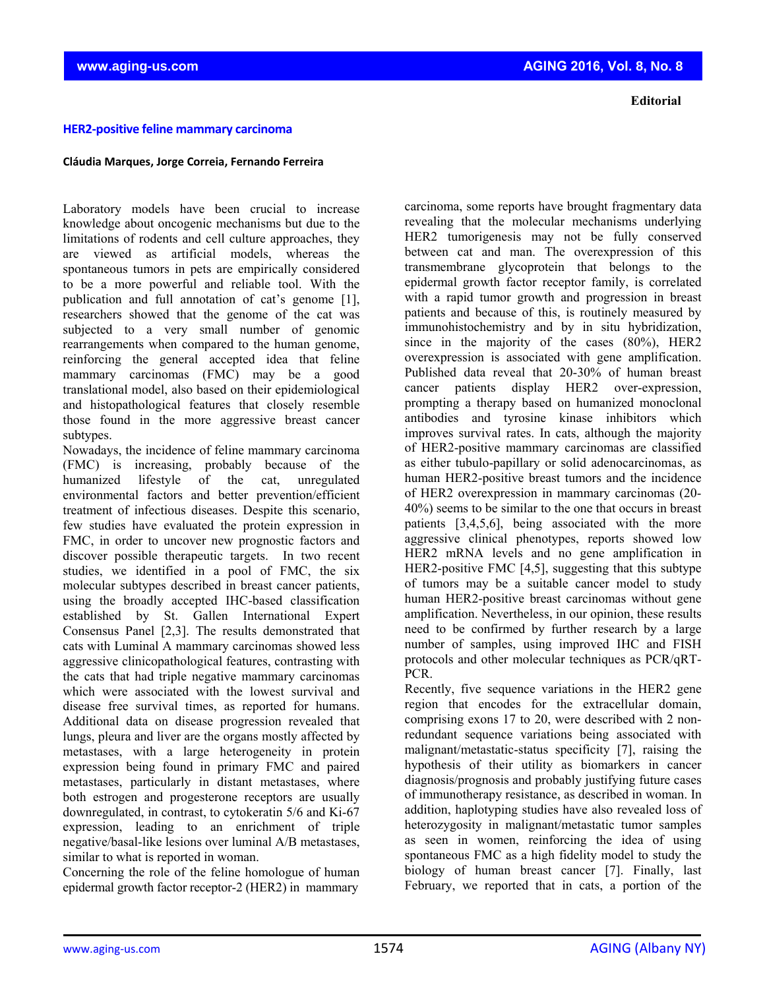knowledge about oncogenic mechanisms but due to the limitations of rodents and cell culture approaches, they are viewed as artificial models, whereas the spontaneous tumors in pets are empirically considered to be a more powerful and reliable tool. With the publication and full annotation of cat's genome [1], researchers showed that the genome of the cat was subjected to a very small number of genomic rearrangements when compared to the human genome, reinforcing the general accepted idea that feline mammary carcinomas (FMC) may be a good translational model, also based on their epidemiological and histopathological features that closely resemble those found in the more aggressive breast cancer subtypes.

**HER2‐positive feline mammary carcinoma** 

**Cláudia Marques, Jorge Correia, Fernando Ferreira**

Nowadays, the incidence of feline mammary carcinoma (FMC) is increasing, probably because of the humanized lifestyle of the cat, unregulated environmental factors and better prevention/efficient treatment of infectious diseases. Despite this scenario, few studies have evaluated the protein expression in FMC, in order to uncover new prognostic factors and discover possible therapeutic targets. In two recent studies, we identified in a pool of FMC, the six molecular subtypes described in breast cancer patients, using the broadly accepted IHC-based classification established by St. Gallen International Expert Consensus Panel [2,3]. The results demonstrated that cats with Luminal A mammary carcinomas showed less aggressive clinicopathological features, contrasting with the cats that had triple negative mammary carcinomas which were associated with the lowest survival and disease free survival times, as reported for humans. Additional data on disease progression revealed that lungs, pleura and liver are the organs mostly affected by metastases, with a large heterogeneity in protein expression being found in primary FMC and paired metastases, particularly in distant metastases, where both estrogen and progesterone receptors are usually downregulated, in contrast, to cytokeratin 5/6 and Ki-67 expression, leading to an enrichment of triple negative/basal-like lesions over luminal A/B metastases, similar to what is reported in woman.

Concerning the role of the feline homologue of human epidermal growth factor receptor-2 (HER2) in mammary

carcinoma, some reports have brought fragmentary data revealing that the molecular mechanisms underlying HER2 tumorigenesis may not be fully conserved between cat and man. The overexpression of this transmembrane glycoprotein that belongs to the epidermal growth factor receptor family, is correlated with a rapid tumor growth and progression in breast patients and because of this, is routinely measured by immunohistochemistry and by in situ hybridization, since in the majority of the cases (80%), HER2 overexpression is associated with gene amplification. Published data reveal that 20-30% of human breast cancer patients display HER2 over-expression, prompting a therapy based on humanized monoclonal antibodies and tyrosine kinase inhibitors which improves survival rates. In cats, although the majority of HER2-positive mammary carcinomas are classified as either tubulo-papillary or solid adenocarcinomas, as human HER2-positive breast tumors and the incidence of HER2 overexpression in mammary carcinomas (20- 40%) seems to be similar to the one that occurs in breast patients [3,4,5,6], being associated with the more aggressive clinical phenotypes, reports showed low HER2 mRNA levels and no gene amplification in HER2-positive FMC [4,5], suggesting that this subtype of tumors may be a suitable cancer model to study human HER2-positive breast carcinomas without gene amplification. Nevertheless, in our opinion, these results need to be confirmed by further research by a large number of samples, using improved IHC and FISH protocols and other molecular techniques as PCR/qRT-PCR.

Recently, five sequence variations in the HER2 gene region that encodes for the extracellular domain, comprising exons 17 to 20, were described with 2 nonredundant sequence variations being associated with malignant/metastatic-status specificity [7], raising the hypothesis of their utility as biomarkers in cancer diagnosis/prognosis and probably justifying future cases of immunotherapy resistance, as described in woman. In addition, haplotyping studies have also revealed loss of heterozygosity in malignant/metastatic tumor samples as seen in women, reinforcing the idea of using spontaneous FMC as a high fidelity model to study the biology of human breast cancer [7]. Finally, last February, we reported that in cats, a portion of the

**www.aging-us.com AGING 2016, Vol. 8, No. 8**